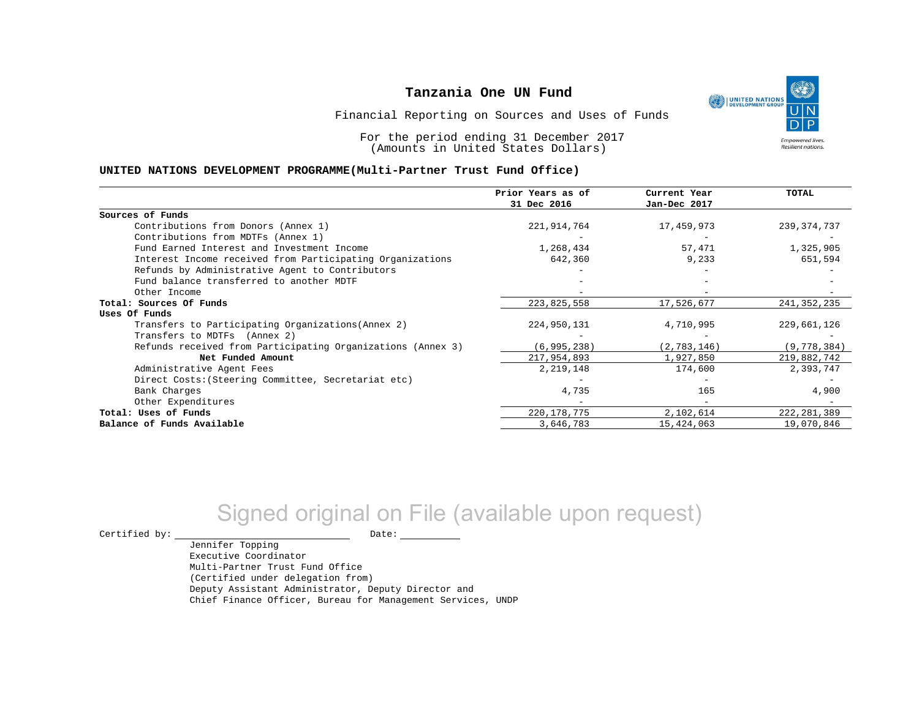UNITED NATIONS **Empowered lives** Resilient nations.

Financial Reporting on Sources and Uses of Funds

For the period ending 31 December 2017 (Amounts in United States Dollars)

#### **UNITED NATIONS DEVELOPMENT PROGRAMME(Multi-Partner Trust Fund Office)**

|                                                             | Prior Years as of | Current Year  | <b>TOTAL</b>  |
|-------------------------------------------------------------|-------------------|---------------|---------------|
|                                                             | 31 Dec 2016       | Jan-Dec 2017  |               |
| Sources of Funds                                            |                   |               |               |
| Contributions from Donors (Annex 1)                         | 221,914,764       | 17,459,973    | 239, 374, 737 |
| Contributions from MDTFs (Annex 1)                          |                   |               |               |
| Fund Earned Interest and Investment Income                  | 1,268,434         | 57,471        | 1,325,905     |
| Interest Income received from Participating Organizations   | 642,360           | 9,233         | 651,594       |
| Refunds by Administrative Agent to Contributors             |                   |               |               |
| Fund balance transferred to another MDTF                    |                   |               |               |
| Other Income                                                |                   |               |               |
| Total: Sources Of Funds                                     | 223,825,558       | 17,526,677    | 241, 352, 235 |
| Uses Of Funds                                               |                   |               |               |
| Transfers to Participating Organizations (Annex 2)          | 224,950,131       | 4,710,995     | 229,661,126   |
| Transfers to MDTFs (Annex 2)                                |                   |               |               |
| Refunds received from Participating Organizations (Annex 3) | (6, 995, 238)     | (2, 783, 146) | (9, 778, 384) |
| Net Funded Amount                                           | 217,954,893       | 1,927,850     | 219,882,742   |
| Administrative Agent Fees                                   | 2,219,148         | 174,600       | 2,393,747     |
| Direct Costs: (Steering Committee, Secretariat etc)         |                   |               |               |
| Bank Charges                                                | 4,735             | 165           | 4,900         |
| Other Expenditures                                          |                   |               |               |
| Total: Uses of Funds                                        | 220, 178, 775     | 2,102,614     | 222, 281, 389 |
| Balance of Funds Available                                  | 3,646,783         | 15,424,063    | 19,070,846    |

# Signed original on File (available upon request)

Certified by: Date:

Jennifer Topping Executive Coordinator Multi-Partner Trust Fund Office (Certified under delegation from) Deputy Assistant Administrator, Deputy Director and Chief Finance Officer, Bureau for Management Services, UNDP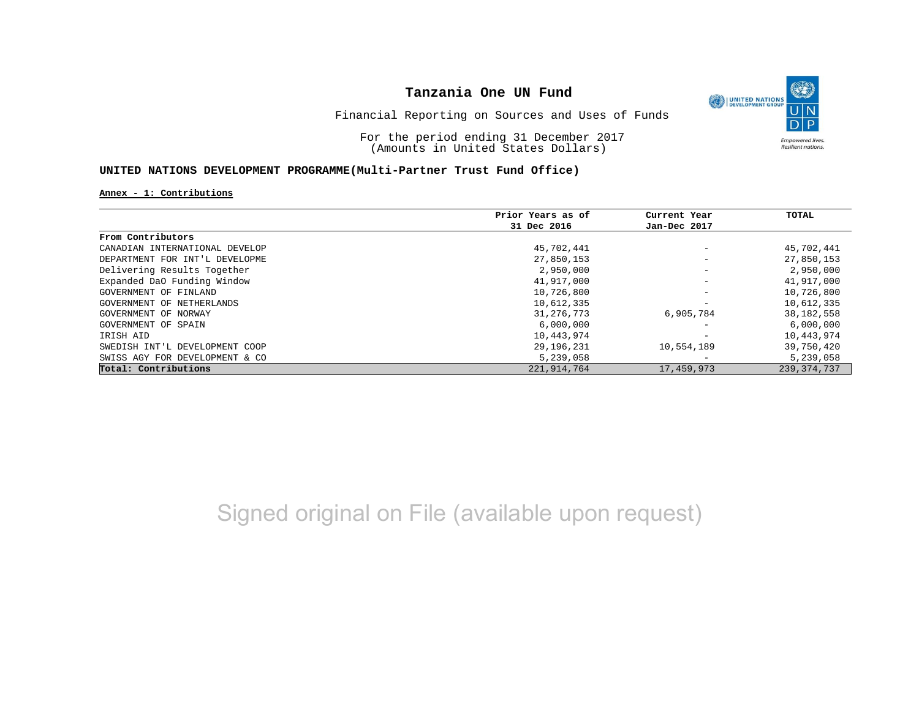

Financial Reporting on Sources and Uses of Funds

For the period ending 31 December 2017 (Amounts in United States Dollars)

## **UNITED NATIONS DEVELOPMENT PROGRAMME(Multi-Partner Trust Fund Office)**

#### **Annex - 1: Contributions**

|                                | Prior Years as of | Current Year             | TOTAL         |
|--------------------------------|-------------------|--------------------------|---------------|
|                                | 31 Dec 2016       | Jan-Dec 2017             |               |
| From Contributors              |                   |                          |               |
| CANADIAN INTERNATIONAL DEVELOP | 45,702,441        | $\overline{\phantom{m}}$ | 45,702,441    |
| DEPARTMENT FOR INT'L DEVELOPME | 27,850,153        | $\overline{\phantom{m}}$ | 27,850,153    |
| Delivering Results Together    | 2,950,000         | $\overline{\phantom{m}}$ | 2,950,000     |
| Expanded DaO Funding Window    | 41,917,000        | $\qquad \qquad -$        | 41,917,000    |
| GOVERNMENT OF FINLAND          | 10,726,800        | $\overline{\phantom{m}}$ | 10,726,800    |
| GOVERNMENT OF NETHERLANDS      | 10,612,335        | $\overline{\phantom{m}}$ | 10,612,335    |
| GOVERNMENT OF NORWAY           | 31, 276, 773      | 6,905,784                | 38, 182, 558  |
| GOVERNMENT OF SPAIN            | 6,000,000         | $\overline{\phantom{0}}$ | 6,000,000     |
| IRISH AID                      | 10,443,974        |                          | 10,443,974    |
| SWEDISH INT'L DEVELOPMENT COOP | 29,196,231        | 10,554,189               | 39,750,420    |
| SWISS AGY FOR DEVELOPMENT & CO | 5,239,058         | $\overline{\phantom{0}}$ | 5,239,058     |
| Total: Contributions           | 221,914,764       | 17,459,973               | 239, 374, 737 |

Signed original on File (available upon request)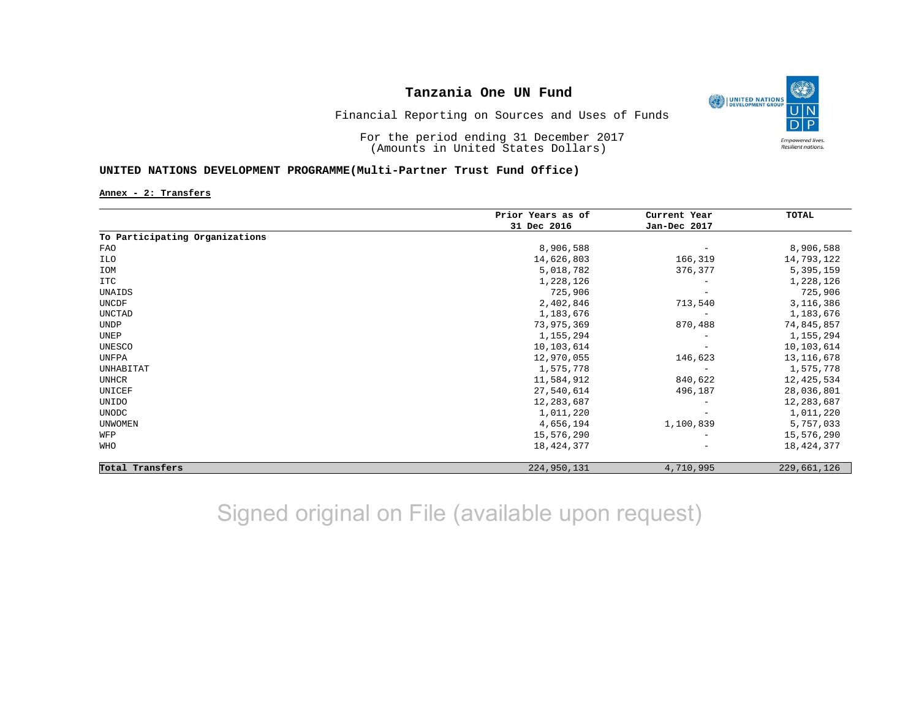

Financial Reporting on Sources and Uses of Funds

For the period ending 31 December 2017 (Amounts in United States Dollars)

## **UNITED NATIONS DEVELOPMENT PROGRAMME(Multi-Partner Trust Fund Office)**

**Annex - 2: Transfers**

|                                | Prior Years as of<br>31 Dec 2016 | Current Year<br>Jan-Dec 2017 | TOTAL        |
|--------------------------------|----------------------------------|------------------------------|--------------|
|                                |                                  |                              |              |
| To Participating Organizations |                                  |                              |              |
| FAO                            | 8,906,588                        | $\overline{\phantom{m}}$     | 8,906,588    |
| ILO                            | 14,626,803                       | 166,319                      | 14,793,122   |
| IOM                            | 5,018,782                        | 376,377                      | 5,395,159    |
| <b>ITC</b>                     | 1,228,126                        |                              | 1,228,126    |
| UNAIDS                         | 725,906                          | $\overline{\phantom{0}}$     | 725,906      |
| UNCDF                          | 2,402,846                        | 713,540                      | 3,116,386    |
| UNCTAD                         | 1,183,676                        |                              | 1,183,676    |
| <b>UNDP</b>                    | 73,975,369                       | 870,488                      | 74,845,857   |
| UNEP                           | 1,155,294                        | $\overline{\phantom{m}}$     | 1,155,294    |
| UNESCO                         | 10,103,614                       |                              | 10,103,614   |
| UNFPA                          | 12,970,055                       | 146,623                      | 13, 116, 678 |
| UNHABITAT                      | 1,575,778                        | $\overline{\phantom{a}}$     | 1,575,778    |
| <b>UNHCR</b>                   | 11,584,912                       | 840,622                      | 12,425,534   |
| UNICEF                         | 27,540,614                       | 496,187                      | 28,036,801   |
| UNIDO                          | 12,283,687                       | $\overline{\phantom{m}}$     | 12,283,687   |
| <b>UNODC</b>                   | 1,011,220                        |                              | 1,011,220    |
| <b>UNWOMEN</b>                 | 4,656,194                        | 1,100,839                    | 5,757,033    |
| WFP                            | 15,576,290                       |                              | 15,576,290   |
| WHO                            | 18, 424, 377                     | $\qquad \qquad -$            | 18, 424, 377 |
| Total Transfers                | 224,950,131                      | 4,710,995                    | 229,661,126  |

Signed original on File (available upon request)